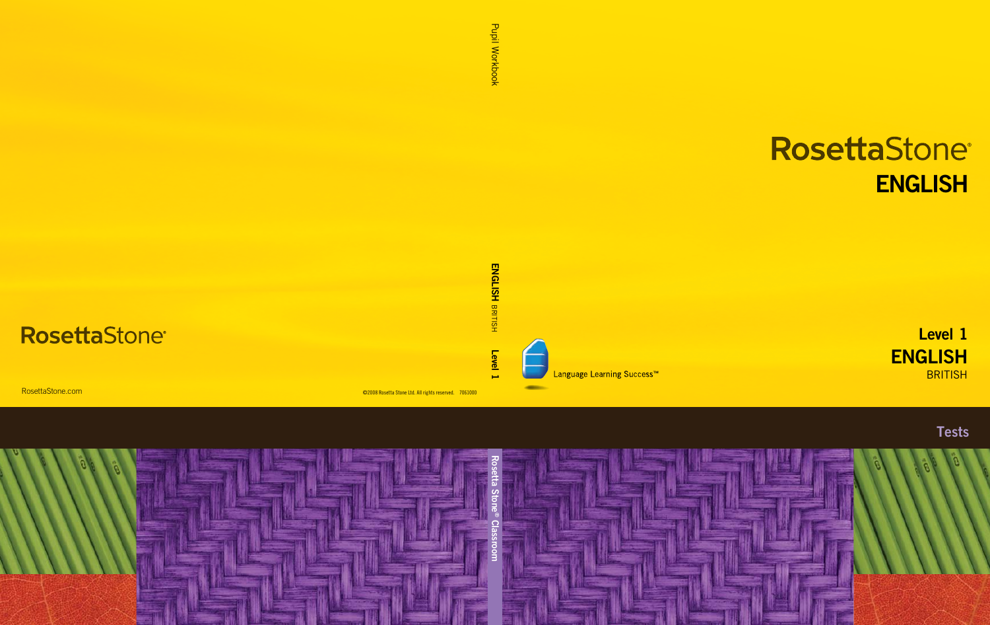# RosettaStone® **ENGLISH**

**ENGLISH BRITISH** Level 1







Language Learning Success<sup>™</sup>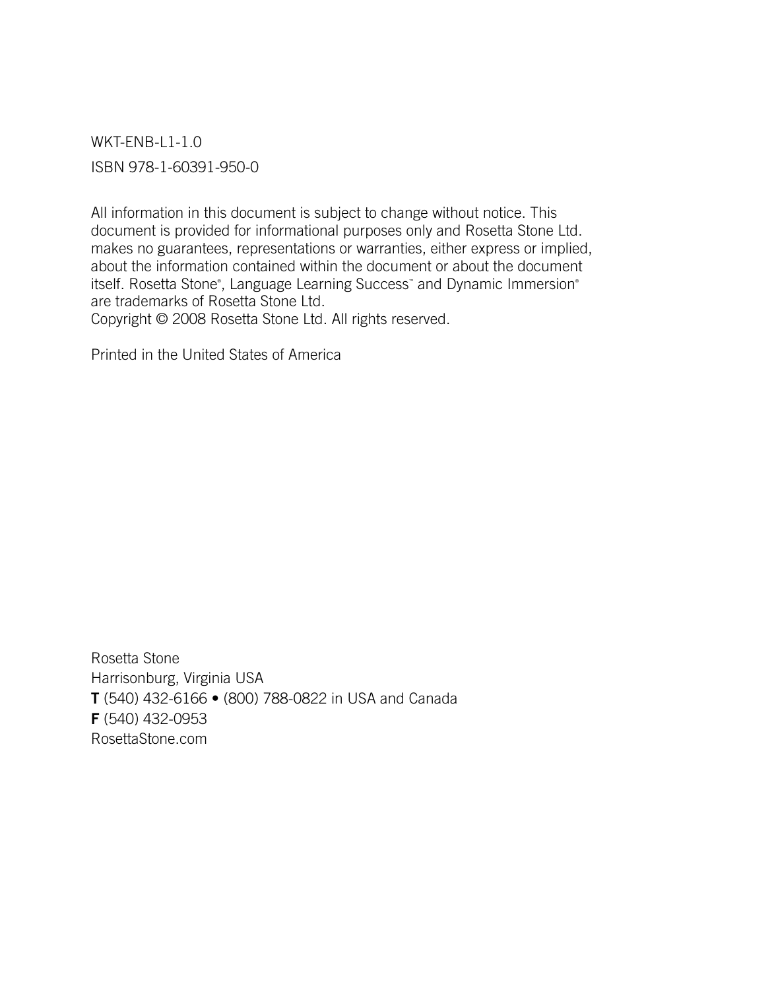WKT-ENB-L1-1.0 ISBN 978-1-60391-950-0

All information in this document is subject to change without notice. This document is provided for informational purposes only and Rosetta Stone Ltd. makes no guarantees, representations or warranties, either express or implied, about the information contained within the document or about the document itself. Rosetta Stone®, Language Learning Success® and Dynamic Immersion® are trademarks of Rosetta Stone Ltd. Copyright © 2008 Rosetta Stone Ltd. All rights reserved.

Printed in the United States of America

Rosetta Stone Harrisonburg, Virginia USA T (540) 432-6166 • (800) 788-0822 in USA and Canada F (540) 432-0953 RosettaStone.com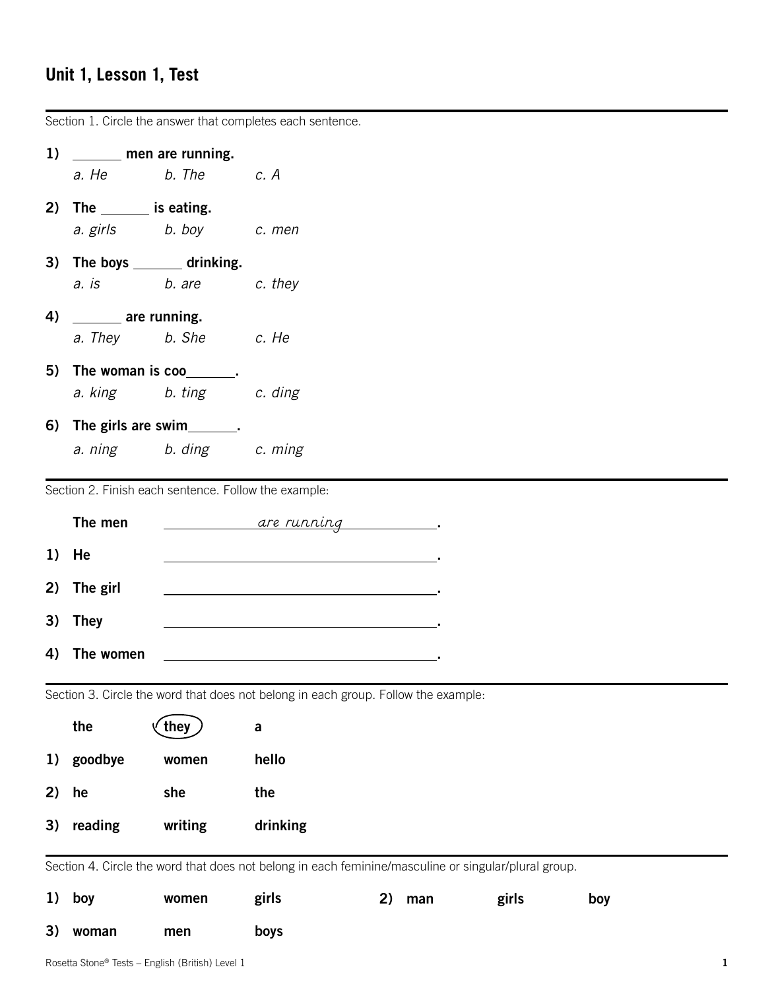# **Unit 1, Lesson 1, Test**

|    | Section 1. Circle the answer that completes each sentence. |                         |                                                                                                      |    |     |       |     |
|----|------------------------------------------------------------|-------------------------|------------------------------------------------------------------------------------------------------|----|-----|-------|-----|
|    | 1) ______ men are running.                                 |                         |                                                                                                      |    |     |       |     |
|    |                                                            | a. He b. The c. A       |                                                                                                      |    |     |       |     |
|    | 2) The $\_\_\_\_\$ is eating.                              |                         |                                                                                                      |    |     |       |     |
|    |                                                            | a. girls b. boy c. men  |                                                                                                      |    |     |       |     |
|    | 3) The boys ________ drinking.                             |                         |                                                                                                      |    |     |       |     |
|    | a. is                                                      | b. are c. they          |                                                                                                      |    |     |       |     |
|    | 4) _______ are running.                                    |                         |                                                                                                      |    |     |       |     |
|    |                                                            | a. They b. She c. He    |                                                                                                      |    |     |       |     |
|    | 5) The woman is coo_______.                                |                         |                                                                                                      |    |     |       |     |
|    |                                                            | a. king b. ting c. ding |                                                                                                      |    |     |       |     |
|    | 6) The girls are swim________.                             |                         |                                                                                                      |    |     |       |     |
|    |                                                            | a. ning b. ding c. ming |                                                                                                      |    |     |       |     |
|    | Section 2. Finish each sentence. Follow the example:       |                         |                                                                                                      |    |     |       |     |
|    |                                                            |                         |                                                                                                      |    |     |       |     |
|    | The men                                                    |                         |                                                                                                      |    |     |       |     |
|    | 1) He                                                      |                         |                                                                                                      |    |     |       |     |
|    | 2) The girl                                                |                         |                                                                                                      |    |     |       |     |
|    | 3) They                                                    |                         |                                                                                                      |    |     |       |     |
| 4) | The women                                                  |                         |                                                                                                      |    |     |       |     |
|    |                                                            |                         |                                                                                                      |    |     |       |     |
|    |                                                            |                         | Section 3. Circle the word that does not belong in each group. Follow the example:                   |    |     |       |     |
|    | the                                                        | they                    | a                                                                                                    |    |     |       |     |
| 1) | goodbye                                                    | women                   | hello                                                                                                |    |     |       |     |
| 2) | he                                                         | she                     | the                                                                                                  |    |     |       |     |
| 3) | reading                                                    | writing                 | drinking                                                                                             |    |     |       |     |
|    |                                                            |                         |                                                                                                      |    |     |       |     |
|    |                                                            |                         | Section 4. Circle the word that does not belong in each feminine/masculine or singular/plural group. |    |     |       |     |
| 1) | boy                                                        | women                   | girls                                                                                                | 2) | man | girls | boy |
| 3) | woman                                                      | men                     | boys                                                                                                 |    |     |       |     |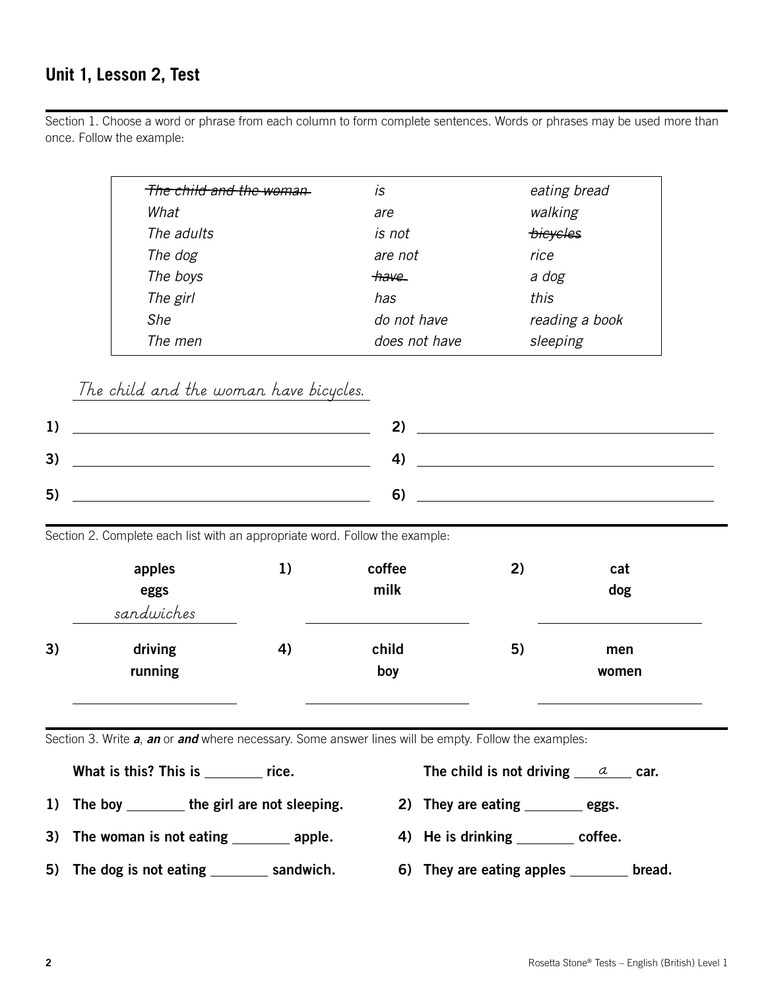#### **Unit 1, Lesson 2, Test**

Section 1. Choose a word or phrase from each column to form complete sentences. Words or phrases may be used more than once. Follow the example:

| <del>The child and the woman</del> | IS              | eating bread    |
|------------------------------------|-----------------|-----------------|
| What                               | are             | walking         |
| The adults                         | is not          | <i>bicycles</i> |
| The dog                            | are not         | rice            |
| The boys                           | <del>have</del> | a dog           |
| The girl                           | has             | this            |
| She                                | do not have     | reading a book  |
| The men                            | does not have   | sleeping        |

*The child and the woman have bicycles.*

| IJ |    |
|----|----|
| 3) | ,, |
| 5) |    |

Section 2. Complete each list with an appropriate word. Follow the example:

|    | apples<br>eggs<br>sandwiches | 1) | coffee<br>milk | 2) | cat<br>dog   |  |
|----|------------------------------|----|----------------|----|--------------|--|
| 3) | driving<br>running           | 4) | child<br>boy   | 5) | men<br>women |  |

Section 3. Write *a*, *an* or *and* where necessary. Some answer lines will be empty. Follow the examples:

| What is this? This is | rice. | The child is not driving $\qquad a$ | car. |
|-----------------------|-------|-------------------------------------|------|
|                       |       |                                     |      |

- 1) The boy  $\frac{1}{\sqrt{2}}$  the girl are not sleeping. 2) They are eating  $\frac{1}{\sqrt{2}}$  eggs.
	-
- 3) The woman is not eating \_\_\_\_\_\_\_\_ apple. 4) He is drinking \_\_\_\_\_\_\_ coffee.
- 
- 5) The dog is not eating \_\_\_\_\_\_\_\_ sandwich. 6) They are eating apples \_\_\_\_\_\_\_ bread.
	-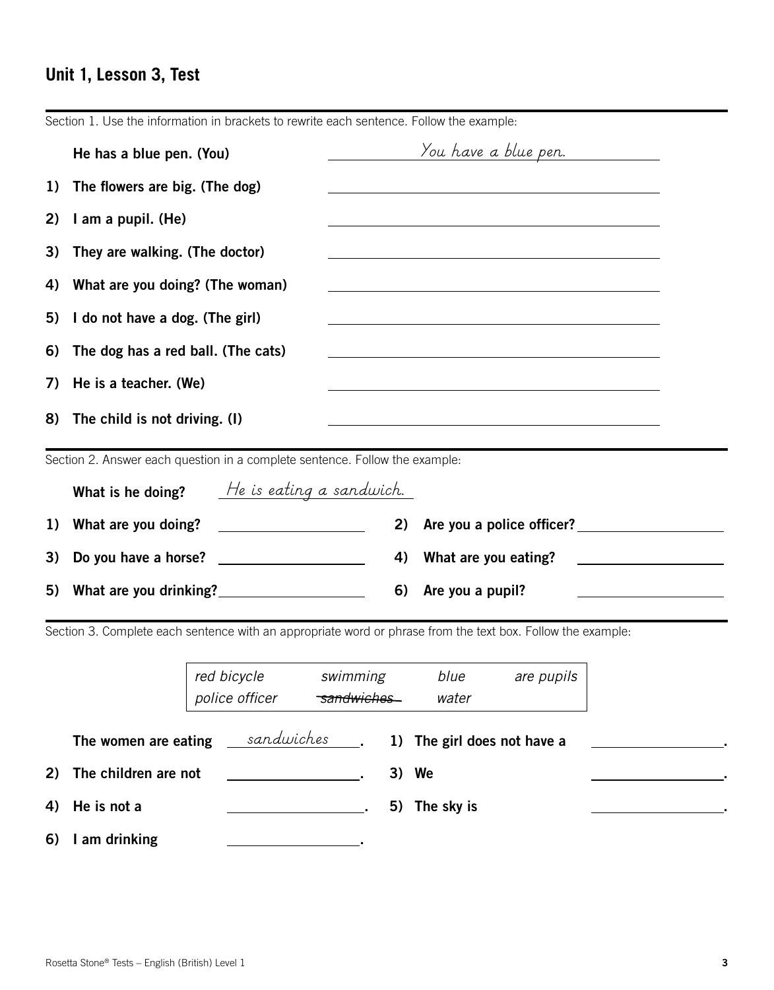# **Unit 1, Lesson 3, Test**

|    | He has a blue pen. (You)                                                                                                                        |                                                 |          | You have a blue pen.                                                                                                                                                                                                          |                           |                                                                                                                      |
|----|-------------------------------------------------------------------------------------------------------------------------------------------------|-------------------------------------------------|----------|-------------------------------------------------------------------------------------------------------------------------------------------------------------------------------------------------------------------------------|---------------------------|----------------------------------------------------------------------------------------------------------------------|
| 1) | The flowers are big. (The dog)                                                                                                                  |                                                 |          |                                                                                                                                                                                                                               |                           |                                                                                                                      |
| 2) | I am a pupil. (He)                                                                                                                              |                                                 |          |                                                                                                                                                                                                                               |                           |                                                                                                                      |
| 3) | They are walking. (The doctor)                                                                                                                  |                                                 |          |                                                                                                                                                                                                                               |                           |                                                                                                                      |
| 4) | What are you doing? (The woman)                                                                                                                 |                                                 |          | the control of the control of the control of the control of the control of the control of the control of the control of the control of the control of the control of the control of the control of the control of the control |                           |                                                                                                                      |
| 5) | I do not have a dog. (The girl)                                                                                                                 |                                                 |          |                                                                                                                                                                                                                               |                           |                                                                                                                      |
| 6) | The dog has a red ball. (The cats)                                                                                                              |                                                 |          |                                                                                                                                                                                                                               |                           |                                                                                                                      |
| 7) | He is a teacher. (We)<br><u> 1989 - Johann Stoff, deutscher Stoffen und der Stoffen und der Stoffen und der Stoffen und der Stoffen und der</u> |                                                 |          |                                                                                                                                                                                                                               |                           |                                                                                                                      |
| 8) | The child is not driving. (I)                                                                                                                   |                                                 |          |                                                                                                                                                                                                                               |                           |                                                                                                                      |
|    | Section 2. Answer each question in a complete sentence. Follow the example:                                                                     |                                                 |          |                                                                                                                                                                                                                               |                           |                                                                                                                      |
|    | What is he doing?                                                                                                                               | He is eating a sandwich.                        |          |                                                                                                                                                                                                                               |                           |                                                                                                                      |
| 1) | What are you doing?                                                                                                                             |                                                 | 2)       |                                                                                                                                                                                                                               | Are you a police officer? |                                                                                                                      |
| 3) | Do you have a horse?                                                                                                                            | <u> 1999 - John Stone, amerikansk politiker</u> | 4)       | What are you eating?                                                                                                                                                                                                          |                           | <u> 1980 - Jan Stein Stein Stein Stein Stein Stein Stein Stein Stein Stein Stein Stein Stein Stein Stein Stein S</u> |
| 5) | What are you drinking?<br><u>University</u>                                                                                                     |                                                 | 6)       | Are you a pupil?                                                                                                                                                                                                              |                           |                                                                                                                      |
|    | Section 3. Complete each sentence with an appropriate word or phrase from the text box. Follow the example:                                     |                                                 |          |                                                                                                                                                                                                                               |                           |                                                                                                                      |
|    |                                                                                                                                                 | red bicycle                                     | swimming | blue                                                                                                                                                                                                                          | are pupils                |                                                                                                                      |

|  |  |  |  |  | Section 1. Use the information in brackets to rewrite each sentence. Follow the example: |  |
|--|--|--|--|--|------------------------------------------------------------------------------------------|--|

|                         | police officer                                                                                                       | <del>sandwiches</del> | water                                       |  |
|-------------------------|----------------------------------------------------------------------------------------------------------------------|-----------------------|---------------------------------------------|--|
| The women are eating    |                                                                                                                      |                       | sandwiches ___. 1) The girl does not have a |  |
| 2) The children are not | <u> 1980 - Jan Barbara Barbara, prima popular popular popular popular popular popular popular popular popular po</u> |                       | 3) We                                       |  |
| 4) He is not a          |                                                                                                                      |                       | 5) The sky is                               |  |
| 6) I am drinking        |                                                                                                                      |                       |                                             |  |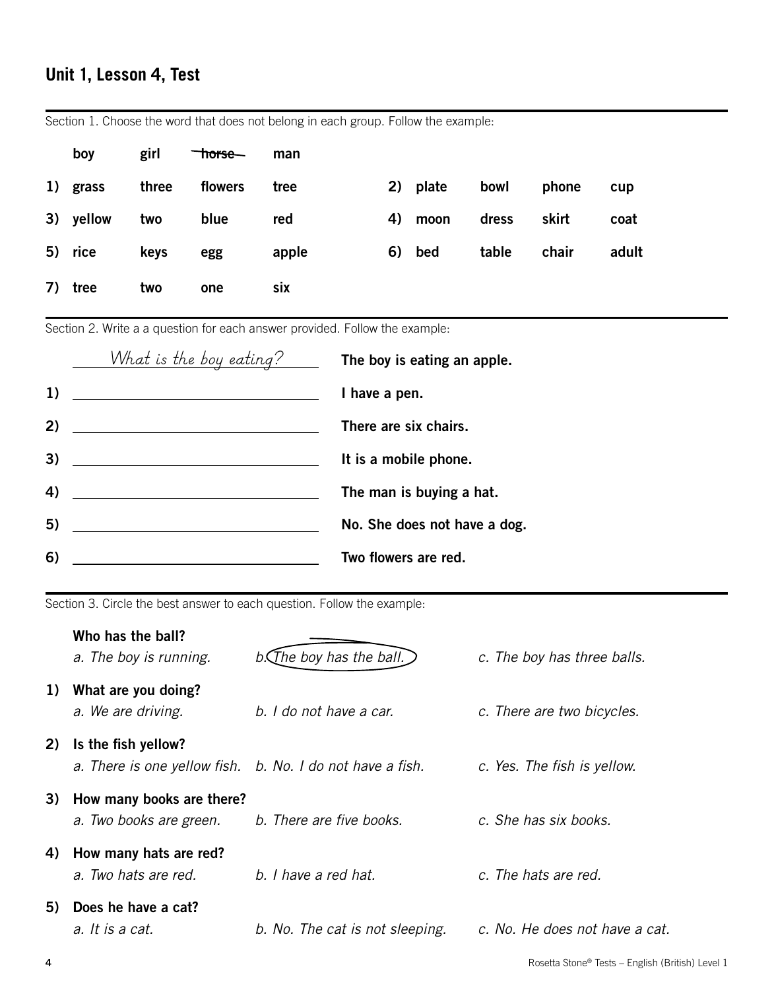# **Unit 1, Lesson 4, Test**

| boy           | girl  | <del>horse</del> man |            |          |             |       |       |
|---------------|-------|----------------------|------------|----------|-------------|-------|-------|
| 1) grass      | three | flowers              | tree       | 2) plate | bowl        | phone | cup   |
| 3) yellow two |       | blue                 | red        | 4) moon  | dress skirt |       | coat  |
| 5) rice       | keys  | egg                  | apple      | 6) bed   | table chair |       | adult |
| 7) tree       | two   | one                  | <b>SIX</b> |          |             |       |       |

Section 1. Choose the word that does not belong in each group. Follow the example:

Section 2. Write a a question for each answer provided. Follow the example:

|    | <u>What is the boy eating?____</u>                                              | The boy is eating an apple.  |
|----|---------------------------------------------------------------------------------|------------------------------|
| 1) | <u> 1989 - Johann Stoff, Amerikaansk politiker (</u>                            | I have a pen.                |
| 2) |                                                                                 | There are six chairs.        |
| 3) | <u> 1989 - Johann Barbara, martxa alemaniar arg</u>                             | It is a mobile phone.        |
| 4) |                                                                                 | The man is buying a hat.     |
| 5) | the contract of the contract of the contract of the contract of the contract of | No. She does not have a dog. |
| 6) |                                                                                 | Two flowers are red.         |

Section 3. Circle the best answer to each question. Follow the example:

|    | Who has the ball?<br>a. The boy is running.                                      | $b$ . The boy has the ball.     | c. The boy has three balls.    |
|----|----------------------------------------------------------------------------------|---------------------------------|--------------------------------|
| 1) | What are you doing?<br>a. We are driving.                                        | b. I do not have a car.         | c. There are two bicycles.     |
| 2) | Is the fish yellow?<br>a. There is one yellow fish. b. No. I do not have a fish. |                                 | c. Yes. The fish is yellow.    |
| 3) | How many books are there?<br>a. Two books are green.                             | b. There are five books.        | c. She has six books.          |
| 4) | How many hats are red?<br>a. Two hats are red.                                   | b. I have a red hat.            | c. The hats are red.           |
| 5) | Does he have a cat?<br>a. It is a cat.                                           | b. No. The cat is not sleeping. | c. No. He does not have a cat. |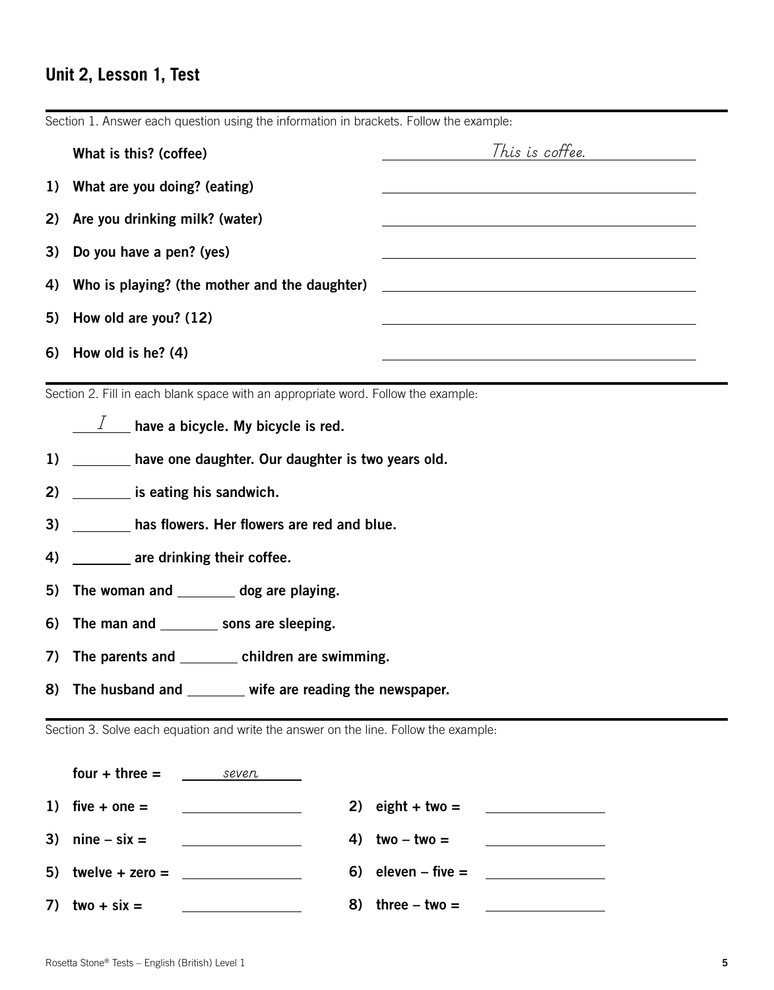# **Unit 2, Lesson 1, Test**

|    | What is this? (coffee)                                                               | This is coffee.                                                                                                        |
|----|--------------------------------------------------------------------------------------|------------------------------------------------------------------------------------------------------------------------|
| 1) | What are you doing? (eating)                                                         | <u> 1989 - Johann Barn, mars ann an t-Amhain Aonaich an t-Aonaich an t-Aonaich ann an t-Aonaich ann an t-Aonaich</u>   |
| 2) | Are you drinking milk? (water)                                                       |                                                                                                                        |
| 3) | Do you have a pen? (yes)                                                             | <u> 1989 - Johann Stoff, deutscher Stoffen und der Stoffen und der Stoffen und der Stoffen und der Stoffen und der</u> |
| 4) |                                                                                      | Who is playing? (the mother and the daughter) ___________________________________                                      |
| 5) | How old are you? (12)                                                                |                                                                                                                        |
|    | 6) How old is he? $(4)$                                                              | <u> 1989 - Johann Barn, amerikansk politiker (d. 1989)</u>                                                             |
|    | Section 2. Fill in each blank space with an appropriate word. Follow the example:    |                                                                                                                        |
|    | $\perp$ have a bicycle. My bicycle is red.                                           |                                                                                                                        |
|    | 1) ________ have one daughter. Our daughter is two years old.                        |                                                                                                                        |
|    | 2) is eating his sandwich.                                                           |                                                                                                                        |
| 3) | has flowers. Her flowers are red and blue.                                           |                                                                                                                        |
| 4) | are drinking their coffee.                                                           |                                                                                                                        |
| 5) | The woman and ________ dog are playing.                                              |                                                                                                                        |
| 6) | The man and __________ sons are sleeping.                                            |                                                                                                                        |
| 7) | The parents and _________ children are swimming.                                     |                                                                                                                        |
| 8) | The husband and _______ wife are reading the newspaper.                              |                                                                                                                        |
|    | Section 3. Solve each equation and write the answer on the line. Follow the example: |                                                                                                                        |
|    | four $+$ three $=$<br>seven                                                          |                                                                                                                        |
|    | 1) five $\pm$ one $=$                                                                | 2) eight + two =                                                                                                       |

Section 1. Answer each question using the information in brackets. Follow the example: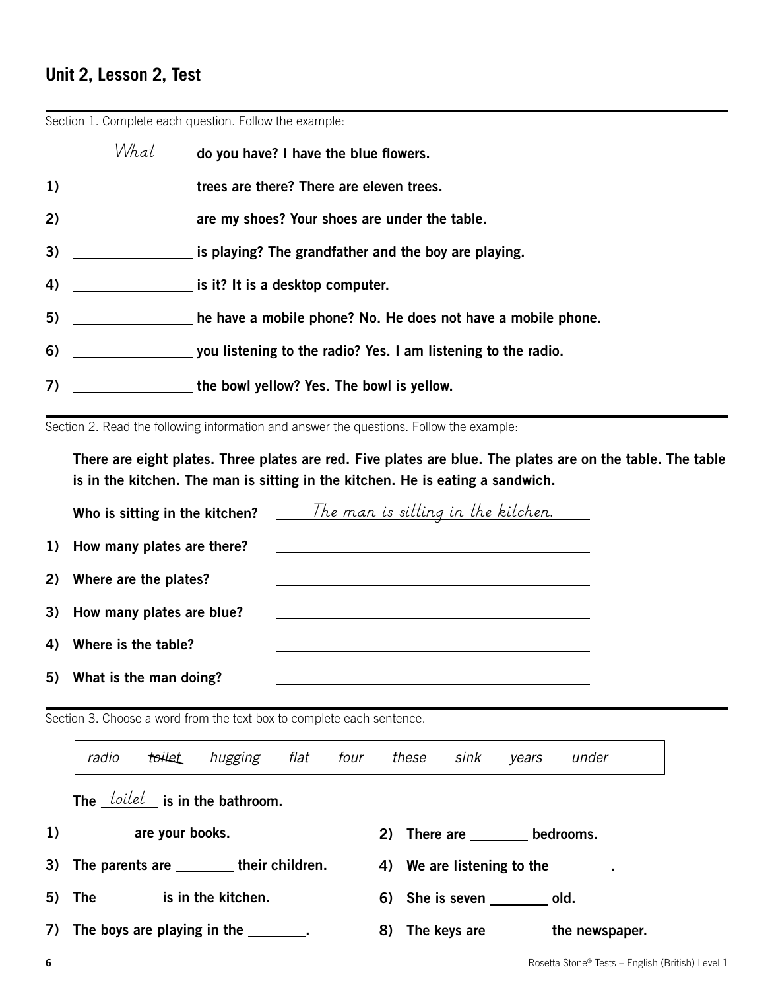## **Unit 2, Lesson 2, Test**

|    |                                       | Section 1. Complete each question. Follow the example:        |
|----|---------------------------------------|---------------------------------------------------------------|
|    | What                                  | _ do you have? I have the blue flowers.                       |
| 1) | <u> a shekara ta 1999 a shekara t</u> | trees are there? There are eleven trees.                      |
| 2) |                                       | are my shoes? Your shoes are under the table.                 |
| 3) |                                       | is playing? The grandfather and the boy are playing.          |
| 4) |                                       | is it? It is a desktop computer.                              |
| 5) |                                       | he have a mobile phone? No. He does not have a mobile phone.  |
| 6) |                                       | you listening to the radio? Yes. I am listening to the radio. |
| 7) |                                       | the bowl yellow? Yes. The bowl is yellow.                     |

Section 1. Complete each question. Follow the example:

Section 2. Read the following information and answer the questions. Follow the example:

There are eight plates. Three plates are red. Five plates are blue. The plates are on the table. The table is in the kitchen. The man is sitting in the kitchen. He is eating a sandwich.

|    |                               | Who is sitting in the kitchen? $\frac{7}{h}$ The man is sitting in the kitchen. |
|----|-------------------------------|---------------------------------------------------------------------------------|
|    | 1) How many plates are there? |                                                                                 |
| 2) | Where are the plates?         |                                                                                 |
|    | 3) How many plates are blue?  |                                                                                 |
| 4) | Where is the table?           |                                                                                 |
| 5) | What is the man doing?        |                                                                                 |

Section 3. Choose a word from the text box to complete each sentence.

|                                              |  |  |  | toilet hugging flat four these sink years under |                                          |
|----------------------------------------------|--|--|--|-------------------------------------------------|------------------------------------------|
| The $\text{toilet}$ is in the bathroom.      |  |  |  |                                                 |                                          |
| 1) _________ are your books.                 |  |  |  | 2) There are _________ bedrooms.                |                                          |
| 3) The parents are _________ their children. |  |  |  | 4) We are listening to the ________.            |                                          |
| 5) The __________ is in the kitchen.         |  |  |  | 6) She is seven old.                            |                                          |
| 7) The boys are playing in the ________.     |  |  |  |                                                 | 8) The keys are _________ the newspaper. |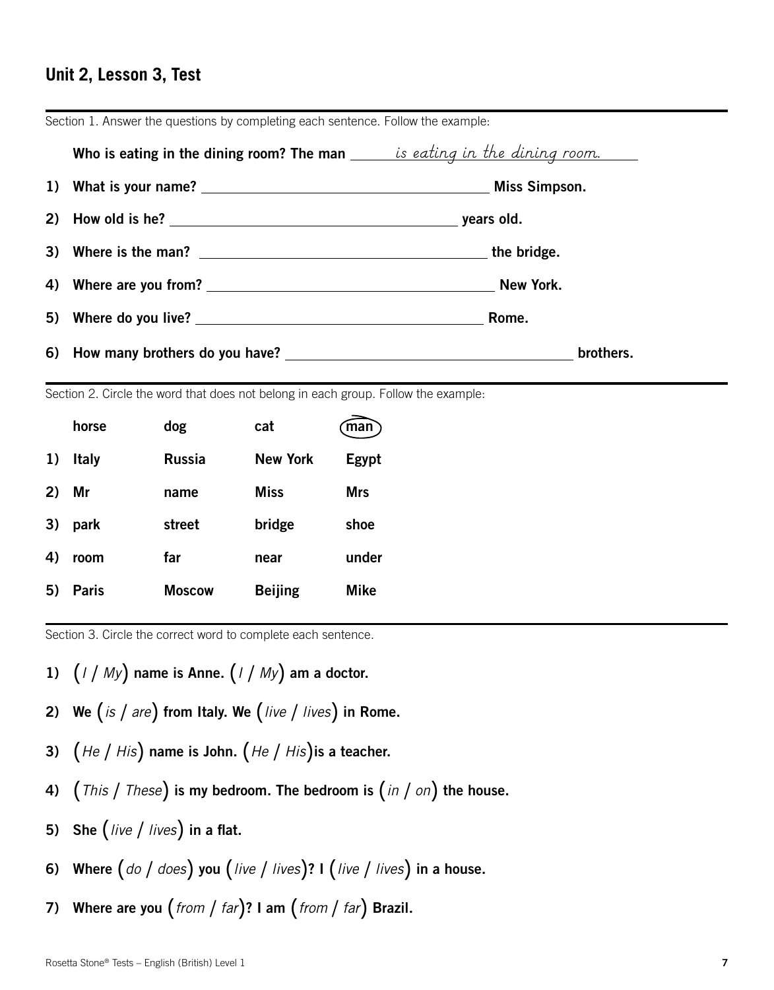#### **Unit 2, Lesson 3, Test**

| Who is eating in the dining room? The man <u>said is eating in the dining room.</u> |           |
|-------------------------------------------------------------------------------------|-----------|
|                                                                                     |           |
|                                                                                     |           |
|                                                                                     |           |
|                                                                                     |           |
| 5) Where do you live?                                                               | Rome.     |
| 6) How many brothers do you have?                                                   | brothers. |

Section 1. Answer the questions by completing each sentence. Follow the example:

Section 2. Circle the word that does not belong in each group. Follow the example:

|       | horse    | dog           | cat             | (man)       |
|-------|----------|---------------|-----------------|-------------|
| 1)    | Italy    | Russia        | <b>New York</b> | Egypt       |
| 2) Mr |          | name          | <b>Miss</b>     | <b>Mrs</b>  |
|       | 3) park  | street        | bridge          | shoe        |
| 4)    | room     | far           | near            | under       |
|       | 5) Paris | <b>Moscow</b> | <b>Beijing</b>  | <b>Mike</b> |

Section 3. Circle the correct word to complete each sentence.

- 1) (*I* / *My*) name is Anne. (*I* / *My*) am a doctor.
- 2) We (*is* / *are*) from Italy. We (*live* / *lives*) in Rome.
- 3) (*He* / *His*) name is John. (*He* / *His*)is a teacher.
- 4) (*This* / *These*) is my bedroom. The bedroom is (*in* / *on*) the house.
- 5) She (*live* / *lives*) in a flat.
- 6) Where (*do* / *does*) you (*live* / *lives*)? I (*live* / *lives*) in a house.
- 7) Where are you (*from* / *far*)? I am (*from* / *far*) Brazil.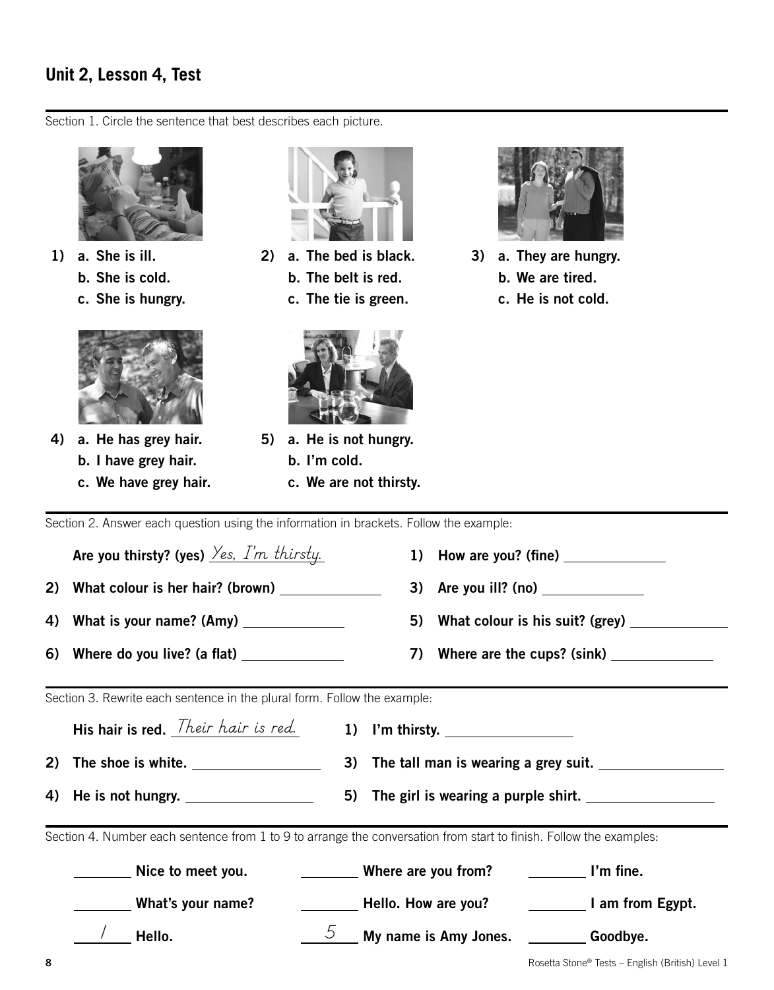## **Unit 2, Lesson 4, Test**

Section 1. Circle the sentence that best describes each picture.



- 1) a. She is ill.
	- b. She is cold.
	- c. She is hungry.



- 4) a. He has grey hair. b. I have grey hair.
	- c. We have grey hair.



- 2) a. The bed is black. b. The belt is red. c. The tie is green.
	-
- 5) a. He is not hungry. b. I'm cold.
	- c. We are not thirsty.



- 3) a. They are hungry. b. We are tired.
	- c. He is not cold.

Section 2. Answer each question using the information in brackets. Follow the example:

|    | Are you thirsty? (yes) $\frac{\gamma_{es}}{\gamma_{cs}}$ $\frac{\gamma_{m}}{\gamma_{m}}$ thirsty. | 1) How are you? (fine) $\frac{1}{\sqrt{1-\frac{1}{2}}\sqrt{1-\frac{1}{2}}\sqrt{1-\frac{1}{2}}\sqrt{1-\frac{1}{2}}}}$                                                                                                                      |
|----|---------------------------------------------------------------------------------------------------|-------------------------------------------------------------------------------------------------------------------------------------------------------------------------------------------------------------------------------------------|
| 2) | What colour is her hair? (brown) _______________                                                  |                                                                                                                                                                                                                                           |
|    | 4) What is your name? (Amy) $\frac{1}{2}$                                                         | 5) What colour is his suit? (grey) ___________                                                                                                                                                                                            |
|    | 6) Where do you live? (a flat) $\frac{1}{2}$ Merrice 1.1 Merrice 1.1 Merrice 1.1                  | 7) Where are the cups? (sink) _______________                                                                                                                                                                                             |
|    | Section 3. Rewrite each sentence in the plural form. Follow the example:                          |                                                                                                                                                                                                                                           |
|    | His hair is red. <i>Their hair is red.</i>                                                        | 1) I'm thirsty. $\frac{1}{2}$                                                                                                                                                                                                             |
| 2) |                                                                                                   | 3) The tall man is wearing a grey suit.                                                                                                                                                                                                   |
|    | 4) He is not hungry.                                                                              | 5) The girl is wearing a purple shirt.                                                                                                                                                                                                    |
|    |                                                                                                   | Section 4. Number each sentence from 1 to 9 to arrange the conversation from start to finish. Follow the examples:                                                                                                                        |
|    | Nice to meet you.                                                                                 | <b>EXAMPLE 2018 Where are you from?</b><br>$\blacksquare$ $\blacksquare$ $\blacksquare$ $\blacksquare$                                                                                                                                    |
|    | What's your name?                                                                                 | <b>No. 3.1. Evaluary Hello.</b> How are you? <b>Access 20 Year 20 Year 10 Year 20 Year 20 Year 20 Year 20 Year 20 Year 20 Year 20 Year 20 Year 20 Year 20 Year 20 Year 20 Year 20 Year 20 Year 20 Year 20 Year 20 Year 20 Year 20 Yea</b> |
|    | Hello.                                                                                            | $\overline{5}$ My name is Amy Jones. $\overline{5}$ Goodbye.                                                                                                                                                                              |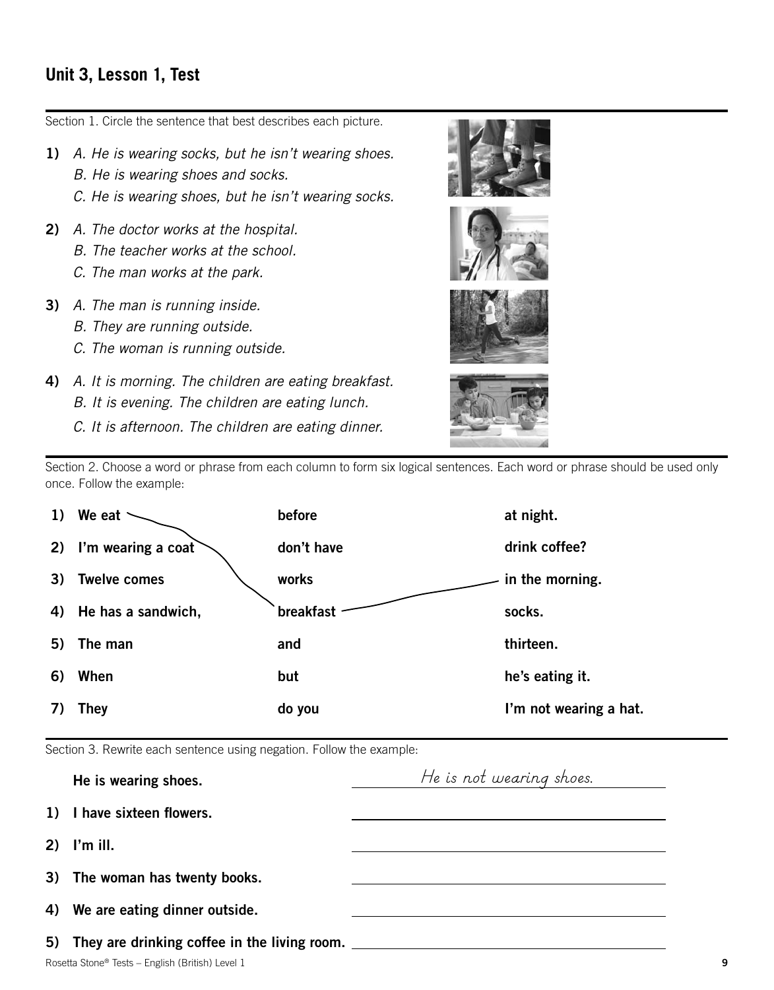#### **Unit 3, Lesson 1, Test**

Section 1. Circle the sentence that best describes each picture.

- 1) *A. He is wearing socks, but he isn't wearing shoes.*
	- *B. He is wearing shoes and socks.*
	- *C. He is wearing shoes, but he isn't wearing socks.*
- 2) *A. The doctor works at the hospital.*
	- *B. The teacher works at the school.*
	- *C. The man works at the park.*
- 3) *A. The man is running inside.*
	- *B. They are running outside.*
	- *C. The woman is running outside.*
- 4) *A. It is morning. The children are eating breakfast. B. It is evening. The children are eating lunch.*
	- *C. It is afternoon. The children are eating dinner.*









Section 2. Choose a word or phrase from each column to form six logical sentences. Each word or phrase should be used only once. Follow the example:

| 1) | We eat              | before     | at night.              |
|----|---------------------|------------|------------------------|
| 2) | I'm wearing a coat  | don't have | drink coffee?          |
| 3) | <b>Twelve comes</b> | works      | in the morning.        |
| 4) | He has a sandwich,  | breakfast  | socks.                 |
| 5) | The man             | and        | thirteen.              |
| 6) | When                | but        | he's eating it.        |
|    | They                | do you     | I'm not wearing a hat. |
|    |                     |            |                        |

Section 3. Rewrite each sentence using negation. Follow the example:

| He is wearing shoes.                                                             | He is not wearing shoes. |   |
|----------------------------------------------------------------------------------|--------------------------|---|
| 1) I have sixteen flowers.                                                       |                          |   |
| $2)$ I'm ill.                                                                    |                          |   |
| 3) The woman has twenty books.                                                   |                          |   |
| 4) We are eating dinner outside.                                                 |                          |   |
| 5) They are drinking coffee in the living room. ________________________________ |                          |   |
| Rosetta Stone® Tests - English (British) Level 1                                 |                          | 9 |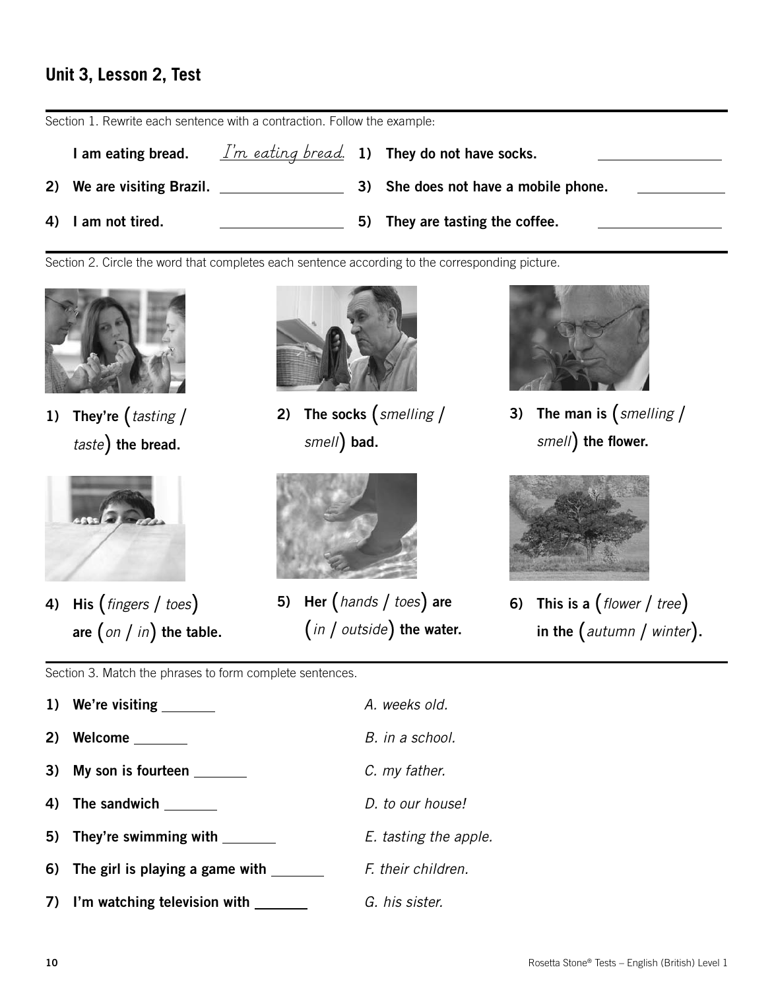## **Unit 3, Lesson 2, Test**

Section 1. Rewrite each sentence with a contraction. Follow the example:

| am eating bread.           |  | $\frac{I'm}{I'm}$ eating bread. 1) They do not have socks. |
|----------------------------|--|------------------------------------------------------------|
| 2) We are visiting Brazil. |  | 3) She does not have a mobile phone.                       |
| 4) I am not tired.         |  | 5) They are tasting the coffee.                            |

Section 2. Circle the word that completes each sentence according to the corresponding picture.



1) They're (*tasting* / *taste*) the bread.



4) His (*fingers* / *toes*) are (*on* / *in*) the table.



2) The socks (*smelling* / *smell*) bad.



5) Her (*hands* / *toes*) are (*in* / *outside*) the water.



3) The man is (*smelling* / *smell*) the flower.



6) This is a (*flower* / *tree*) in the (*autumn* / *winter*).

Section 3. Match the phrases to form complete sentences.

1) We're visiting *A. weeks old.*

- 
- 3) My son is fourteen *C. my father.*
- 4) The sandwich *D. to our house!*
- 5) They're swimming with *E. tasting the apple.*
- 6) The girl is playing a game with F. their children.
- 7) I'm watching television with  $G.$  his sister.
- 2) Welcome <u>and *B.* in a school.</u>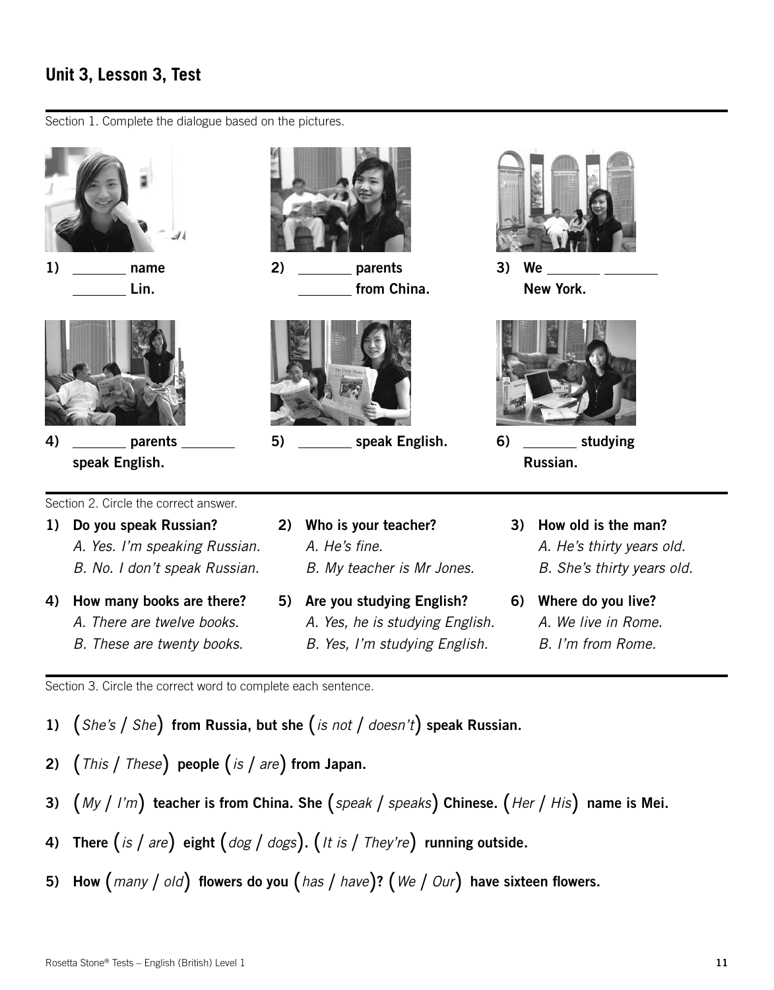## **Unit 3, Lesson 3, Test**

Section 1. Complete the dialogue based on the pictures.





4) \_\_\_\_\_\_\_\_\_ parents speak English.



2) parents from China.



5) speak English. 6) studying



3) We New York.



Russian.

Section 2. Circle the correct answer.

- 1) Do you speak Russian? *a. Yes. I'm speaking Russian.*
	- *b. No. I don't speak Russian.*
- 4) How many books are there? *a. There are twelve books.*
	- *b. These are twenty books.*
- 2) Who is your teacher? *a. He's fine. b. My teacher is Mr Jones.*
- 5) Are you studying English? *a. Yes, he is studying English. b. Yes, I'm studying English.*
- 3) How old is the man? *a. He's thirty years old. b. She's thirty years old.*
- 6) Where do you live? *a. We live in Rome. b. I'm from Rome.*

Section 3. Circle the correct word to complete each sentence.

- 1) (*She's* / *She*) from Russia, but she (*is not* / *doesn't*) speak Russian.
- 2) (*This* / *These*) people (*is* / *are*) from Japan.
- 3) (*My* / *I'm*) teacher is from China. She (*speak* / *speaks*) Chinese. (*Her* / *His*) name is Mei.
- 4) There (*is* / *are*) eight (*dog* / *dogs*). (*It is* / *They're*) running outside.
- 5) How (*many* / *old*) flowers do you (*has* / *have*)? (*We* / *Our*) have sixteen flowers.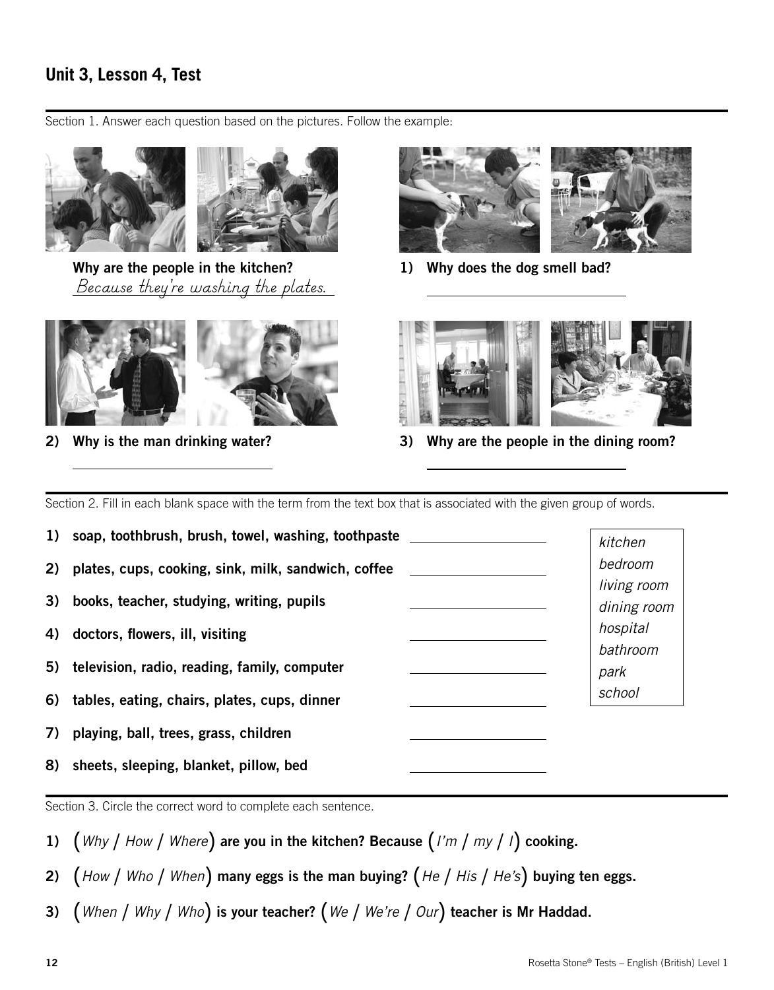# **Unit 3, Lesson 4, Test**

Section 1. Answer each question based on the pictures. Follow the example:



Why are the people in the kitchen? *Because they're washing the plates.*



2) Why is the man drinking water?

 $\overline{a}$ 



1) Why does the dog smell bad?

 $\overline{a}$ 

 $\overline{a}$ 



3) Why are the people in the dining room?

Section 2. Fill in each blank space with the term from the text box that is associated with the given group of words.

1) soap, toothbrush, brush, towel, washing, toothpaste 2) plates, cups, cooking, sink, milk, sandwich, coffee 3) books, teacher, studying, writing, pupils 4) doctors, flowers, ill, visiting 5) television, radio, reading, family, computer 6) tables, eating, chairs, plates, cups, dinner 7) playing, ball, trees, grass, children 8) sheets, sleeping, blanket, pillow, bed *kitchen bedroom living room dining room hospital bathroom park school*

Section 3. Circle the correct word to complete each sentence.

- 1) (*Why* / *How* / *Where*) are you in the kitchen? Because (*I'm* / *my* / *<sup>I</sup>*) cooking.
- 2) (*How* / *Who* / *When*) many eggs is the man buying? (*He* / *His* / *He's*) buying ten eggs.
- 3) (*When* / *Why* / *Who*) is your teacher? (*We* / *We're* / *Our*) teacher is Mr Haddad.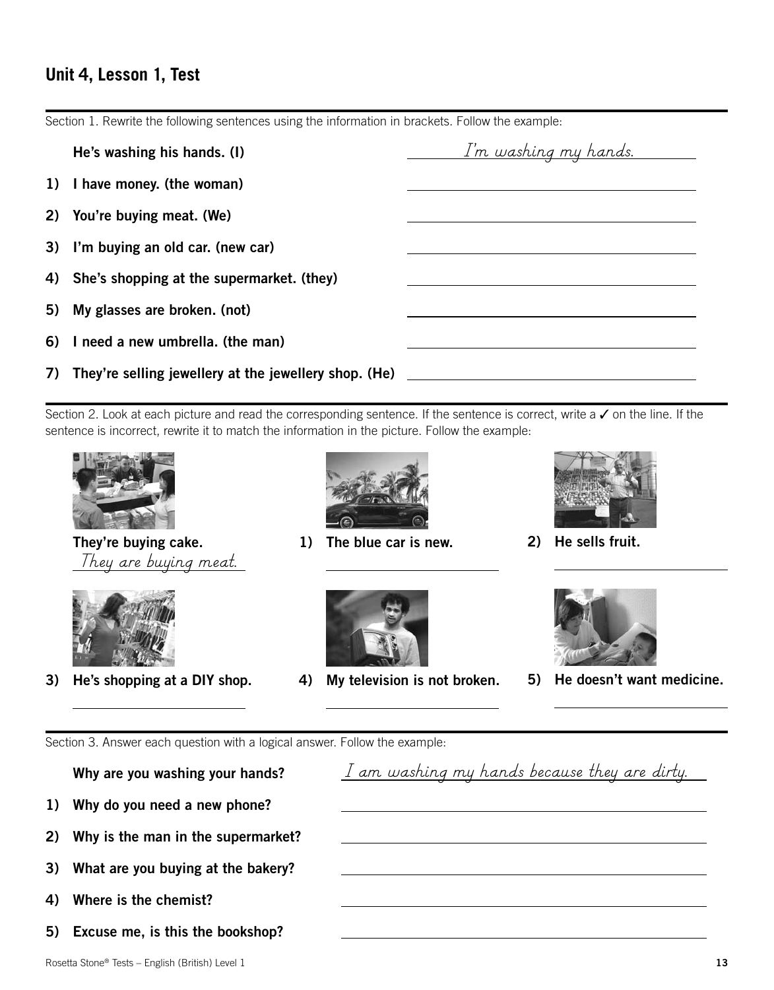#### **Unit 4, Lesson 1, Test**

|    | He's washing his hands. (I)                           | <u>I'm washing my hands.</u> |
|----|-------------------------------------------------------|------------------------------|
|    | 1) I have money. (the woman)                          |                              |
| 2) | You're buying meat. (We)                              |                              |
|    | 3) I'm buying an old car. (new car)                   |                              |
|    | 4) She's shopping at the supermarket. (they)          |                              |
| 5) | My glasses are broken. (not)                          |                              |
|    | 6) I need a new umbrella. (the man)                   |                              |
| 7) | They're selling jewellery at the jewellery shop. (He) |                              |

Section 1. Rewrite the following sentences using the information in brackets. Follow the example:

Section 2. Look at each picture and read the corresponding sentence. If the sentence is correct, write a  $\checkmark$  on the line. If the sentence is incorrect, rewrite it to match the information in the picture. Follow the example:



They're buying cake.  $\overline{a}$ *They are buying meat.*



 $\overline{a}$ 

3) He's shopping at a DIY shop.



1) The blue car is new.

 $\overline{a}$ 

 $\overline{a}$ 



4) My television is not broken.



2) He sells fruit.

 $\overline{a}$ 

 $\overline{a}$ 

*I am washing my hands because they are dirty.*



5) He doesn't want medicine.

Section 3. Answer each question with a logical answer. Follow the example:

Why are you washing your hands?

- 1) Why do you need a new phone?
- 2) Why is the man in the supermarket?
- 3) What are you buying at the bakery?
- 4) Where is the chemist?
- 5) Excuse me, is this the bookshop?

Rosetta Stone® Tests – English (British) Level 1 **a 13 13**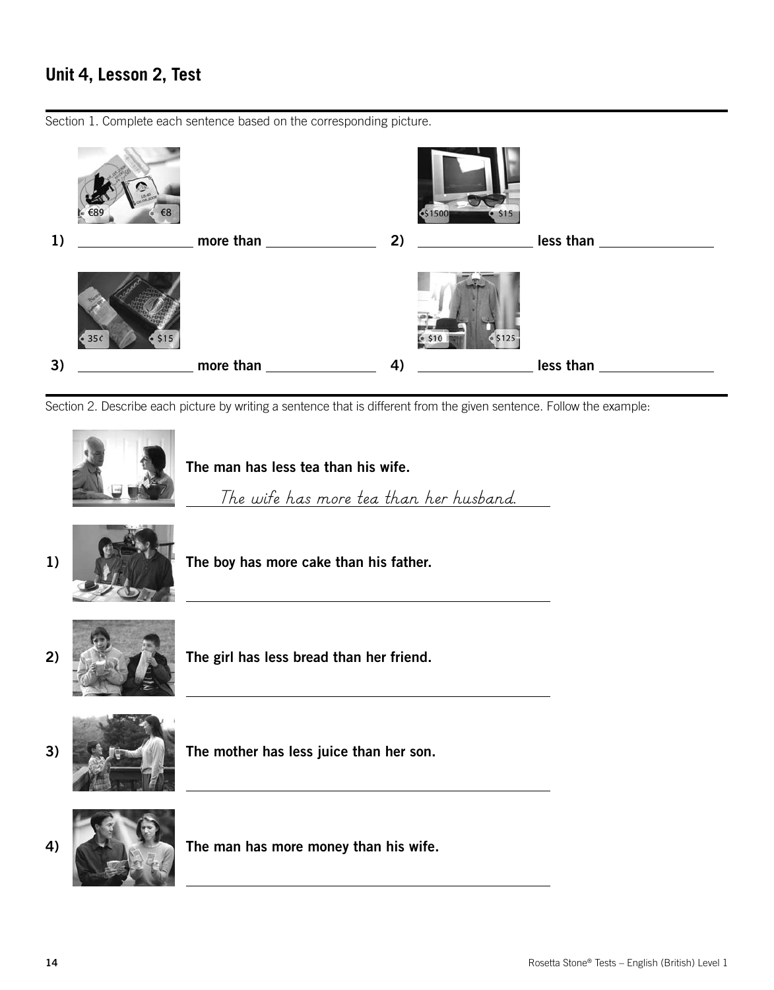# **Unit 4, Lesson 2, Test**

\$1500 1)  $\frac{1}{2}$  more than 2)  $\frac{2}{2}$  less than 2 3) more than 4) less than

Section 1. Complete each sentence based on the corresponding picture.

Section 2. Describe each picture by writing a sentence that is different from the given sentence. Follow the example:

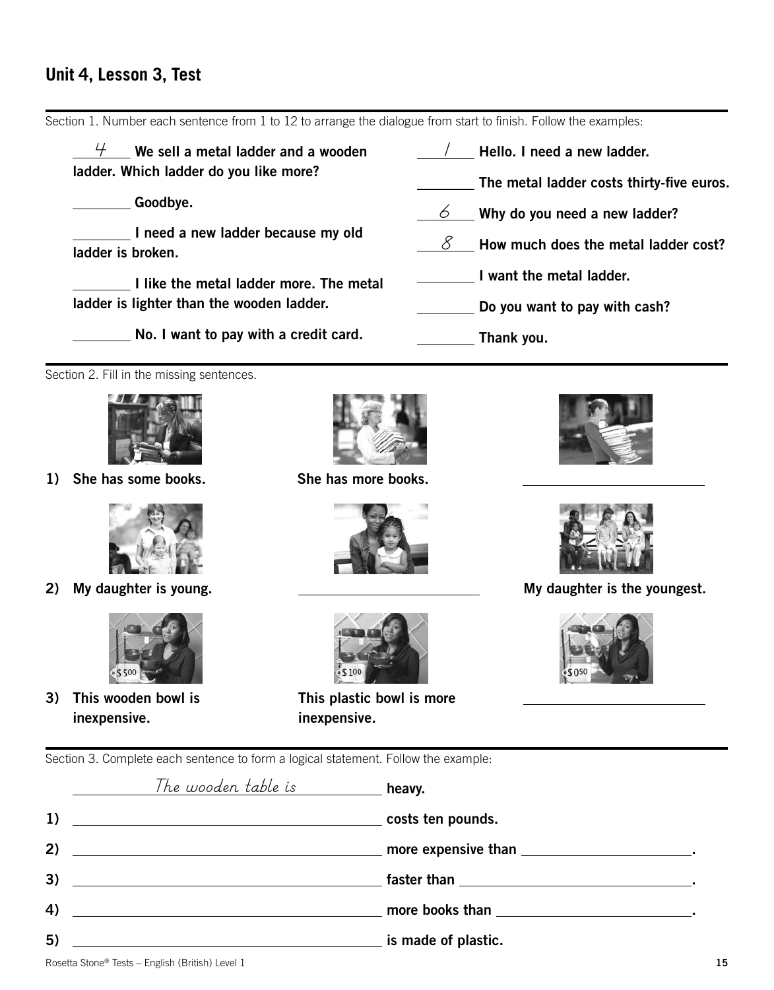#### **Unit 4, Lesson 3, Test**

Section 1. Number each sentence from 1 to 12 to arrange the dialogue from start to finish. Follow the examples:  $\frac{1}{2}$  We sell a metal ladder and a wooden  $\frac{1}{2}$  $\frac{1}{\sqrt{2}}$  Hello. I need a new ladder. ladder. Which ladder do you like more? The metal ladder costs thirty-five euros. Goodbye. *6* Why do you need a new ladder? I need a new ladder because my old  $\underline{\hspace{1cm}}\delta$   $\quad$  How much does the metal ladder cost? ladder is broken. I want the metal ladder. I like the metal ladder more. The metal ladder is lighter than the wooden ladder. Do you want to pay with cash? No. I want to pay with a credit card. Thank you. Section 2. Fill in the missing sentences. 1) She has some books. She has more books. 2) My daughter is young. The summan set of the youngest.  $$500$ 3) This wooden bowl is This plastic bowl is more  $\overline{a}$ inexpensive. inexpensive. Section 3. Complete each sentence to form a logical statement. Follow the example: heavy. *The wooden table is*1) costs ten pounds. 2) more expensive than . 3) **faster than**  $\sim$  **faster than** 

4) **The Contract of the Contract Contract Contract Contract Contract Contract Contract Contract Contract Contract Contract Contract Contract Contract Contract Contract Contract Contract Contract Contract Contract Contract** 

5) **interest and the contract of plastic. is made of plastic.** 

Rosetta Stone® Tests – English (British) Level 1 **b** and the store is the store in the store of the store is the store in the store is the store in the store in the store is the store in the store in the store in the store